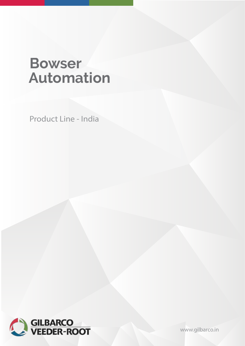# **Bowser Automation**

Product Line - India



[www.gilbarco.in](https://www.gilbarco.in/)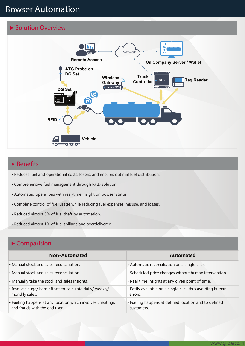# **Bowser Automation**

#### **Solution Overview**



## **Benefits**

- Reduces fuel and operational costs, losses, and ensures optimal fuel distribution.
- Comprehensive fuel management through RFID solution.
- Automated operations with real-time insight on bowser status.
- Complete control of fuel usage while reducing fuel expenses, misuse, and losses.
- Reduced almost 3% of fuel theft by automation.
- Reduced almost 1% of fuel spillage and overdelivered.

### **Comparision**

| <b>Non-Automated</b>                                                                        | <b>Automated</b>                                                    |
|---------------------------------------------------------------------------------------------|---------------------------------------------------------------------|
| • Manual stock and sales reconciliation.                                                    | • Automatic reconciliation on a single click.                       |
| • Manual stock and sales reconciliation                                                     | • Scheduled price changes without human intervention.               |
| • Manually take the stock and sales insights.                                               | . Real time insights at any given point of time.                    |
| . Involves huge/ hard efforts to calculate daily/ weekly/<br>monthly sales.                 | • Easily available on a single click thus avoiding human<br>errors. |
| • Fueling happens at any location which involves cheatings<br>and frauds with the end user. | • Fueling happens at defined location and to defined<br>customers.  |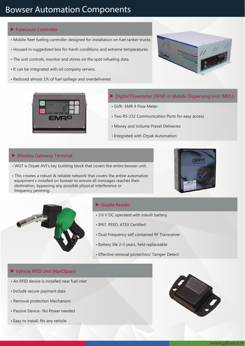# **Bowser Automation Components**

#### **Forecourt Controller**

- Mobile fleet fueling controller designed for installation on fuel tanker trucks.
- Housed in ruggedized box for harsh conditions and extreme temperatures.
- The unit controls, monitor and stores on the spot refueling data.
- It can be integrated with oil company servers.
- Reduced almost 1% of fuel spillage and overdelivered.





- **Digital Flowmeter (DFM) or Mobile Dispensing Unit (MDU)**
- GVR- EMR 4 Flow Meter
- Two RS-232 Communication Ports for easy access
- Money and Volume Preset Deliveries
- Integrated with Orpak Automation

#### **Wireless Gateway Terminal**

- WGT is Orpak AVI's key building block that covers the entire bowser unit.
- This creates a robust & reliable network that covers the entire automation equipment's installed on bowser to ensure all messages reaches their destination, bypassing any possible physical interference or frequency jamming.





#### **Nozzle Reader**

- 3.6 V DC operated with inbuilt battery.
- IP67, PESO, ATEX Certified
- Dual Frequency self contained RF Transceiver
- Battery life 2-3 years, field replaceable
- Effective removal protection/ Tamper Detect

#### **Vehicle RFID Unit (NanOpass)**

- An RFID device is installed near fuel inlet
- Include secure payment data
- Removal protection Mechanism
- Passive Device- No Power needed
- Easy to install, fits any vehicle